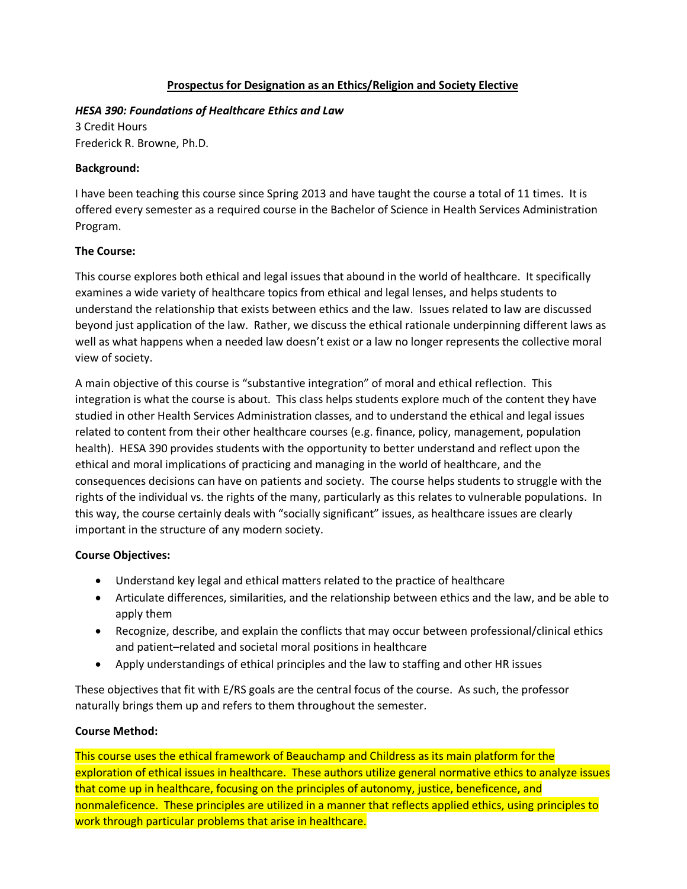### **Prospectus for Designation as an Ethics/Religion and Society Elective**

#### *HESA 390: Foundations of Healthcare Ethics and Law*

3 Credit Hours Frederick R. Browne, Ph.D.

### **Background:**

I have been teaching this course since Spring 2013 and have taught the course a total of 11 times. It is offered every semester as a required course in the Bachelor of Science in Health Services Administration Program.

### **The Course:**

This course explores both ethical and legal issues that abound in the world of healthcare. It specifically examines a wide variety of healthcare topics from ethical and legal lenses, and helps students to understand the relationship that exists between ethics and the law. Issues related to law are discussed beyond just application of the law. Rather, we discuss the ethical rationale underpinning different laws as well as what happens when a needed law doesn't exist or a law no longer represents the collective moral view of society.

A main objective of this course is "substantive integration" of moral and ethical reflection. This integration is what the course is about. This class helps students explore much of the content they have studied in other Health Services Administration classes, and to understand the ethical and legal issues related to content from their other healthcare courses (e.g. finance, policy, management, population health). HESA 390 provides students with the opportunity to better understand and reflect upon the ethical and moral implications of practicing and managing in the world of healthcare, and the consequences decisions can have on patients and society. The course helps students to struggle with the rights of the individual vs. the rights of the many, particularly as this relates to vulnerable populations. In this way, the course certainly deals with "socially significant" issues, as healthcare issues are clearly important in the structure of any modern society.

# **Course Objectives:**

- Understand key legal and ethical matters related to the practice of healthcare
- Articulate differences, similarities, and the relationship between ethics and the law, and be able to apply them
- Recognize, describe, and explain the conflicts that may occur between professional/clinical ethics and patient–related and societal moral positions in healthcare
- Apply understandings of ethical principles and the law to staffing and other HR issues

These objectives that fit with E/RS goals are the central focus of the course. As such, the professor naturally brings them up and refers to them throughout the semester.

#### **Course Method:**

This course uses the ethical framework of Beauchamp and Childress as its main platform for the exploration of ethical issues in healthcare. These authors utilize general normative ethics to analyze issues that come up in healthcare, focusing on the principles of autonomy, justice, beneficence, and nonmaleficence. These principles are utilized in a manner that reflects applied ethics, using principles to work through particular problems that arise in healthcare.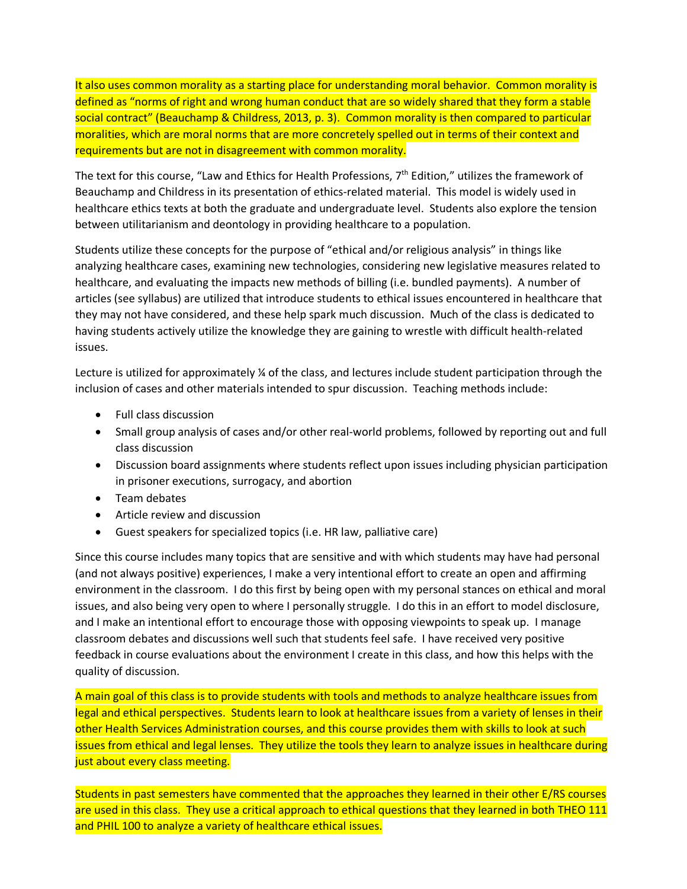It also uses common morality as a starting place for understanding moral behavior. Common morality is defined as "norms of right and wrong human conduct that are so widely shared that they form a stable social contract" (Beauchamp & Childress, 2013, p. 3). Common morality is then compared to particular moralities, which are moral norms that are more concretely spelled out in terms of their context and requirements but are not in disagreement with common morality.

The text for this course, "Law and Ethics for Health Professions, 7th Edition," utilizes the framework of Beauchamp and Childress in its presentation of ethics-related material. This model is widely used in healthcare ethics texts at both the graduate and undergraduate level. Students also explore the tension between utilitarianism and deontology in providing healthcare to a population.

Students utilize these concepts for the purpose of "ethical and/or religious analysis" in things like analyzing healthcare cases, examining new technologies, considering new legislative measures related to healthcare, and evaluating the impacts new methods of billing (i.e. bundled payments). A number of articles (see syllabus) are utilized that introduce students to ethical issues encountered in healthcare that they may not have considered, and these help spark much discussion. Much of the class is dedicated to having students actively utilize the knowledge they are gaining to wrestle with difficult health-related issues.

Lecture is utilized for approximately ¼ of the class, and lectures include student participation through the inclusion of cases and other materials intended to spur discussion. Teaching methods include:

- Full class discussion
- Small group analysis of cases and/or other real-world problems, followed by reporting out and full class discussion
- Discussion board assignments where students reflect upon issues including physician participation in prisoner executions, surrogacy, and abortion
- Team debates
- Article review and discussion
- Guest speakers for specialized topics (i.e. HR law, palliative care)

Since this course includes many topics that are sensitive and with which students may have had personal (and not always positive) experiences, I make a very intentional effort to create an open and affirming environment in the classroom. I do this first by being open with my personal stances on ethical and moral issues, and also being very open to where I personally struggle. I do this in an effort to model disclosure, and I make an intentional effort to encourage those with opposing viewpoints to speak up. I manage classroom debates and discussions well such that students feel safe. I have received very positive feedback in course evaluations about the environment I create in this class, and how this helps with the quality of discussion.

A main goal of this class is to provide students with tools and methods to analyze healthcare issues from legal and ethical perspectives. Students learn to look at healthcare issues from a variety of lenses in their other Health Services Administration courses, and this course provides them with skills to look at such issues from ethical and legal lenses. They utilize the tools they learn to analyze issues in healthcare during just about every class meeting.

Students in past semesters have commented that the approaches they learned in their other E/RS courses are used in this class. They use a critical approach to ethical questions that they learned in both THEO 111 and PHIL 100 to analyze a variety of healthcare ethical issues.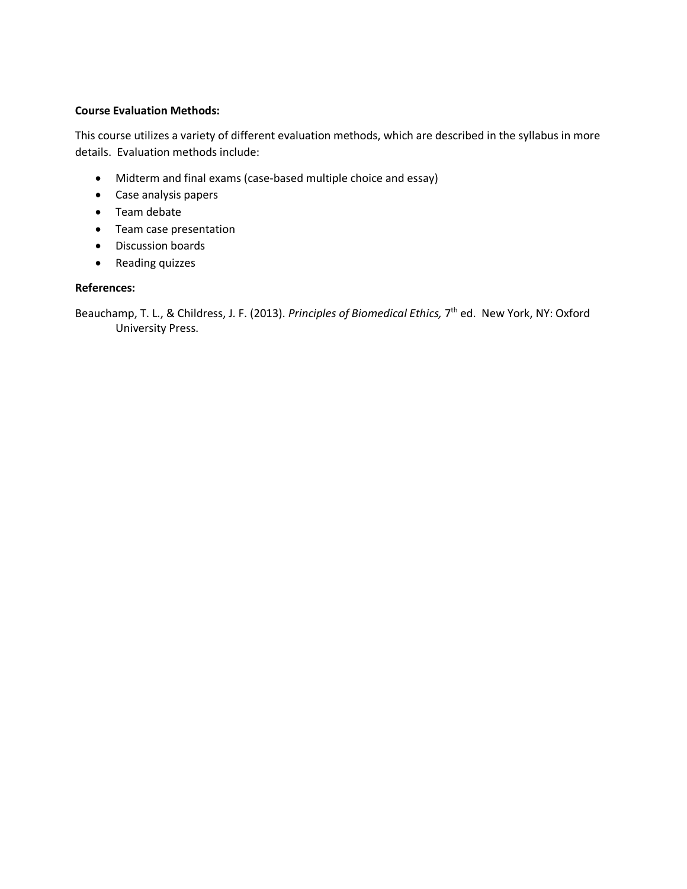### **Course Evaluation Methods:**

This course utilizes a variety of different evaluation methods, which are described in the syllabus in more details. Evaluation methods include:

- Midterm and final exams (case-based multiple choice and essay)
- Case analysis papers
- Team debate
- Team case presentation
- Discussion boards
- Reading quizzes

#### **References:**

Beauchamp, T. L., & Childress, J. F. (2013). *Principles of Biomedical Ethics,* 7th ed. New York, NY: Oxford University Press.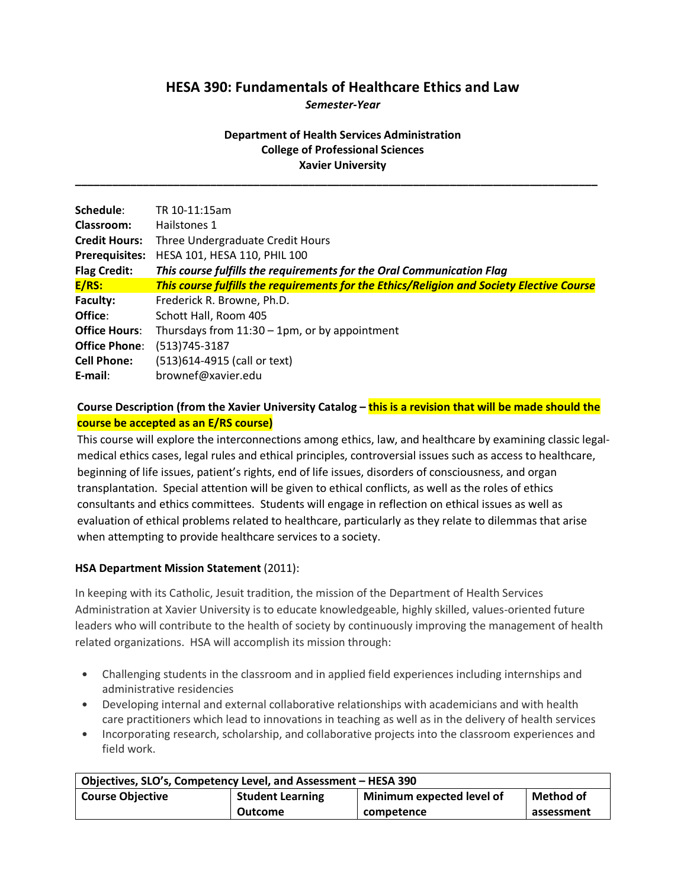# **HESA 390: Fundamentals of Healthcare Ethics and Law**

*Semester-Year*

# **Department of Health Services Administration College of Professional Sciences Xavier University**

**\_\_\_\_\_\_\_\_\_\_\_\_\_\_\_\_\_\_\_\_\_\_\_\_\_\_\_\_\_\_\_\_\_\_\_\_\_\_\_\_\_\_\_\_\_\_\_\_\_\_\_\_\_\_\_\_\_\_\_\_\_\_\_\_\_\_\_\_\_\_\_\_\_\_\_\_\_\_\_\_\_\_\_\_\_**

| Schedule:             | TR 10-11:15am                                                                             |
|-----------------------|-------------------------------------------------------------------------------------------|
| Classroom:            | Hailstones 1                                                                              |
| <b>Credit Hours:</b>  | Three Undergraduate Credit Hours                                                          |
| <b>Prerequisites:</b> | HESA 101, HESA 110, PHIL 100                                                              |
| <b>Flag Credit:</b>   | This course fulfills the requirements for the Oral Communication Flag                     |
| E/RS:                 | This course fulfills the requirements for the Ethics/Religion and Society Elective Course |
| Faculty:              | Frederick R. Browne, Ph.D.                                                                |
| Office:               | Schott Hall, Room 405                                                                     |
| <b>Office Hours:</b>  | Thursdays from $11:30 - 1$ pm, or by appointment                                          |
| <b>Office Phone:</b>  | $(513)745-3187$                                                                           |
| <b>Cell Phone:</b>    | (513)614-4915 (call or text)                                                              |
| E-mail:               | brownef@xavier.edu                                                                        |

# **Course Description (from the Xavier University Catalog – this is a revision that will be made should the course be accepted as an E/RS course)**

This course will explore the interconnections among ethics, law, and healthcare by examining classic legalmedical ethics cases, legal rules and ethical principles, controversial issues such as access to healthcare, beginning of life issues, patient's rights, end of life issues, disorders of consciousness, and organ transplantation. Special attention will be given to ethical conflicts, as well as the roles of ethics consultants and ethics committees. Students will engage in reflection on ethical issues as well as evaluation of ethical problems related to healthcare, particularly as they relate to dilemmas that arise when attempting to provide healthcare services to a society.

# **HSA Department Mission Statement** (2011):

In keeping with its Catholic, Jesuit tradition, the mission of the Department of Health Services Administration at Xavier University is to educate knowledgeable, highly skilled, values-oriented future leaders who will contribute to the health of society by continuously improving the management of health related organizations. HSA will accomplish its mission through:

- Challenging students in the classroom and in applied field experiences including internships and administrative residencies
- Developing internal and external collaborative relationships with academicians and with health care practitioners which lead to innovations in teaching as well as in the delivery of health services
- Incorporating research, scholarship, and collaborative projects into the classroom experiences and field work.

| Objectives, SLO's, Competency Level, and Assessment - HESA 390 |                         |                           |            |
|----------------------------------------------------------------|-------------------------|---------------------------|------------|
| <b>Course Objective</b>                                        | <b>Student Learning</b> | Minimum expected level of | Method of  |
|                                                                | Outcome                 | competence                | assessment |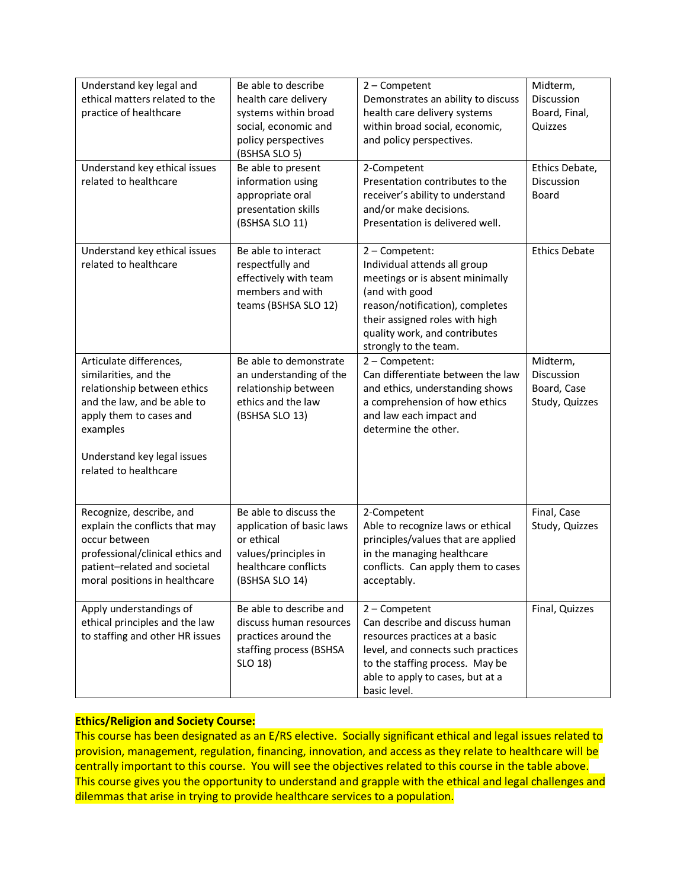| Understand key legal and<br>ethical matters related to the<br>practice of healthcare<br>Understand key ethical issues<br>related to healthcare                                                                | Be able to describe<br>health care delivery<br>systems within broad<br>social, economic and<br>policy perspectives<br>(BSHSA SLO 5)<br>Be able to present<br>information using<br>appropriate oral<br>presentation skills<br>(BSHSA SLO 11) | $2$ – Competent<br>Demonstrates an ability to discuss<br>health care delivery systems<br>within broad social, economic,<br>and policy perspectives.<br>2-Competent<br>Presentation contributes to the<br>receiver's ability to understand<br>and/or make decisions.<br>Presentation is delivered well. | Midterm,<br>Discussion<br>Board, Final,<br>Quizzes<br>Ethics Debate,<br>Discussion<br><b>Board</b> |
|---------------------------------------------------------------------------------------------------------------------------------------------------------------------------------------------------------------|---------------------------------------------------------------------------------------------------------------------------------------------------------------------------------------------------------------------------------------------|--------------------------------------------------------------------------------------------------------------------------------------------------------------------------------------------------------------------------------------------------------------------------------------------------------|----------------------------------------------------------------------------------------------------|
| Understand key ethical issues<br>related to healthcare                                                                                                                                                        | Be able to interact<br>respectfully and<br>effectively with team<br>members and with<br>teams (BSHSA SLO 12)                                                                                                                                | 2 - Competent:<br>Individual attends all group<br>meetings or is absent minimally<br>(and with good<br>reason/notification), completes<br>their assigned roles with high<br>quality work, and contributes<br>strongly to the team.                                                                     | <b>Ethics Debate</b>                                                                               |
| Articulate differences,<br>similarities, and the<br>relationship between ethics<br>and the law, and be able to<br>apply them to cases and<br>examples<br>Understand key legal issues<br>related to healthcare | Be able to demonstrate<br>an understanding of the<br>relationship between<br>ethics and the law<br>(BSHSA SLO 13)                                                                                                                           | 2 - Competent:<br>Can differentiate between the law<br>and ethics, understanding shows<br>a comprehension of how ethics<br>and law each impact and<br>determine the other.                                                                                                                             | Midterm,<br>Discussion<br>Board, Case<br>Study, Quizzes                                            |
| Recognize, describe, and<br>explain the conflicts that may<br>occur between<br>professional/clinical ethics and<br>patient-related and societal<br>moral positions in healthcare                              | Be able to discuss the<br>application of basic laws<br>or ethical<br>values/principles in<br>healthcare conflicts<br>(BSHSA SLO 14)                                                                                                         | 2-Competent<br>Able to recognize laws or ethical<br>principles/values that are applied<br>in the managing healthcare<br>conflicts. Can apply them to cases<br>acceptably.                                                                                                                              | Final, Case<br>Study, Quizzes                                                                      |
| Apply understandings of<br>ethical principles and the law<br>to staffing and other HR issues                                                                                                                  | Be able to describe and<br>discuss human resources<br>practices around the<br>staffing process (BSHSA<br>SLO 18)                                                                                                                            | $2$ – Competent<br>Can describe and discuss human<br>resources practices at a basic<br>level, and connects such practices<br>to the staffing process. May be<br>able to apply to cases, but at a<br>basic level.                                                                                       | Final, Quizzes                                                                                     |

#### **Ethics/Religion and Society Course:**

This course has been designated as an E/RS elective. Socially significant ethical and legal issues related to provision, management, regulation, financing, innovation, and access as they relate to healthcare will be centrally important to this course. You will see the objectives related to this course in the table above. This course gives you the opportunity to understand and grapple with the ethical and legal challenges and dilemmas that arise in trying to provide healthcare services to a population.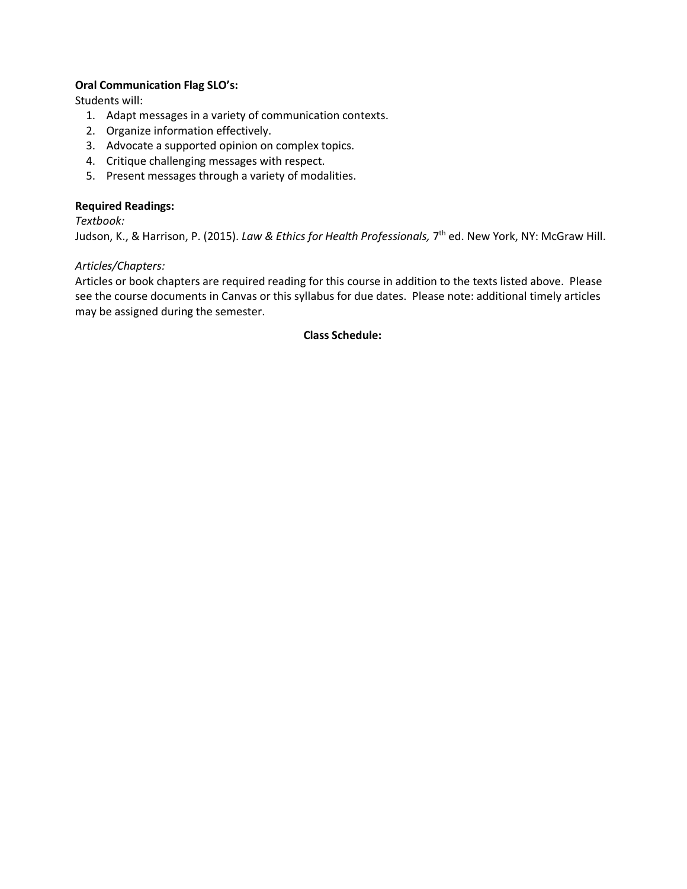### **Oral Communication Flag SLO's:**

Students will:

- 1. Adapt messages in a variety of communication contexts.
- 2. Organize information effectively.
- 3. Advocate a supported opinion on complex topics.
- 4. Critique challenging messages with respect.
- 5. Present messages through a variety of modalities.

### **Required Readings:**

*Textbook:* 

Judson, K., & Harrison, P. (2015). *Law & Ethics for Health Professionals,* 7th ed. New York, NY: McGraw Hill.

#### *Articles/Chapters:*

Articles or book chapters are required reading for this course in addition to the texts listed above. Please see the course documents in Canvas or this syllabus for due dates. Please note: additional timely articles may be assigned during the semester.

#### **Class Schedule:**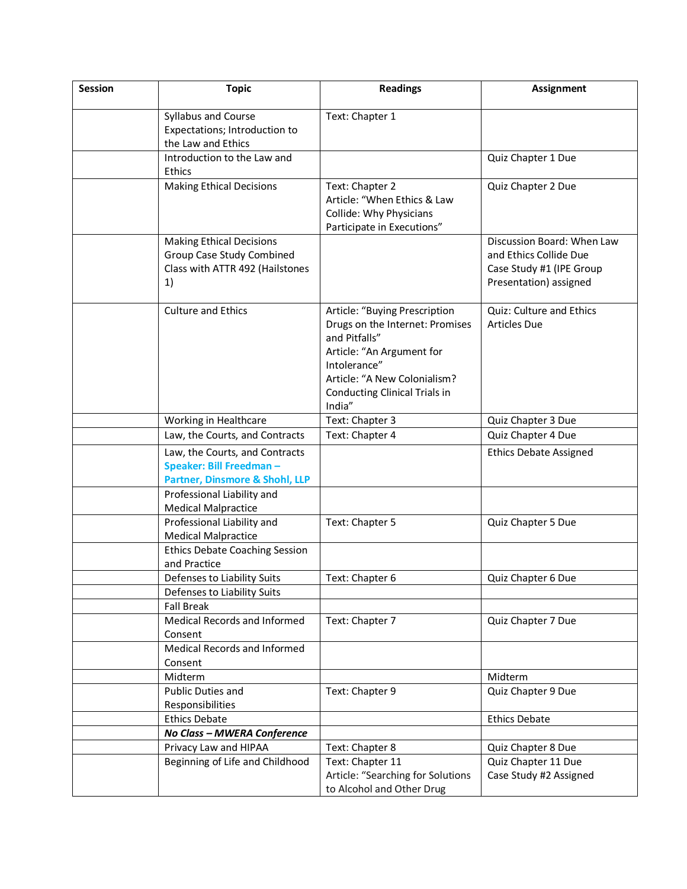| <b>Session</b> | <b>Topic</b>                                                                                          | <b>Readings</b>                                                                                                                                                                                           | <b>Assignment</b>                                                                                          |
|----------------|-------------------------------------------------------------------------------------------------------|-----------------------------------------------------------------------------------------------------------------------------------------------------------------------------------------------------------|------------------------------------------------------------------------------------------------------------|
|                | Syllabus and Course<br>Expectations; Introduction to<br>the Law and Ethics                            | Text: Chapter 1                                                                                                                                                                                           |                                                                                                            |
|                | Introduction to the Law and<br>Ethics                                                                 |                                                                                                                                                                                                           | Quiz Chapter 1 Due                                                                                         |
|                | <b>Making Ethical Decisions</b>                                                                       | Text: Chapter 2<br>Article: "When Ethics & Law<br>Collide: Why Physicians<br>Participate in Executions"                                                                                                   | Quiz Chapter 2 Due                                                                                         |
|                | <b>Making Ethical Decisions</b><br>Group Case Study Combined<br>Class with ATTR 492 (Hailstones<br>1) |                                                                                                                                                                                                           | Discussion Board: When Law<br>and Ethics Collide Due<br>Case Study #1 (IPE Group<br>Presentation) assigned |
|                | <b>Culture and Ethics</b>                                                                             | Article: "Buying Prescription<br>Drugs on the Internet: Promises<br>and Pitfalls"<br>Article: "An Argument for<br>Intolerance"<br>Article: "A New Colonialism?<br>Conducting Clinical Trials in<br>India" | Quiz: Culture and Ethics<br><b>Articles Due</b>                                                            |
|                | Working in Healthcare                                                                                 | Text: Chapter 3                                                                                                                                                                                           | Quiz Chapter 3 Due                                                                                         |
|                | Law, the Courts, and Contracts                                                                        | Text: Chapter 4                                                                                                                                                                                           | Quiz Chapter 4 Due                                                                                         |
|                | Law, the Courts, and Contracts<br>Speaker: Bill Freedman-<br>Partner, Dinsmore & Shohl, LLP           |                                                                                                                                                                                                           | <b>Ethics Debate Assigned</b>                                                                              |
|                | Professional Liability and<br><b>Medical Malpractice</b>                                              |                                                                                                                                                                                                           |                                                                                                            |
|                | Professional Liability and<br><b>Medical Malpractice</b>                                              | Text: Chapter 5                                                                                                                                                                                           | Quiz Chapter 5 Due                                                                                         |
|                | <b>Ethics Debate Coaching Session</b><br>and Practice                                                 |                                                                                                                                                                                                           |                                                                                                            |
|                | Defenses to Liability Suits                                                                           | Text: Chapter 6                                                                                                                                                                                           | Quiz Chapter 6 Due                                                                                         |
|                | Defenses to Liability Suits                                                                           |                                                                                                                                                                                                           |                                                                                                            |
|                | <b>Fall Break</b>                                                                                     |                                                                                                                                                                                                           |                                                                                                            |
|                | Medical Records and Informed<br>Consent                                                               | Text: Chapter 7                                                                                                                                                                                           | Quiz Chapter 7 Due                                                                                         |
|                | Medical Records and Informed<br>Consent                                                               |                                                                                                                                                                                                           |                                                                                                            |
|                | Midterm                                                                                               |                                                                                                                                                                                                           | Midterm                                                                                                    |
|                | Public Duties and<br>Responsibilities                                                                 | Text: Chapter 9                                                                                                                                                                                           | Quiz Chapter 9 Due                                                                                         |
|                | <b>Ethics Debate</b>                                                                                  |                                                                                                                                                                                                           | <b>Ethics Debate</b>                                                                                       |
|                | No Class - MWERA Conference                                                                           |                                                                                                                                                                                                           |                                                                                                            |
|                | Privacy Law and HIPAA                                                                                 | Text: Chapter 8                                                                                                                                                                                           | Quiz Chapter 8 Due                                                                                         |
|                | Beginning of Life and Childhood                                                                       | Text: Chapter 11<br>Article: "Searching for Solutions<br>to Alcohol and Other Drug                                                                                                                        | Quiz Chapter 11 Due<br>Case Study #2 Assigned                                                              |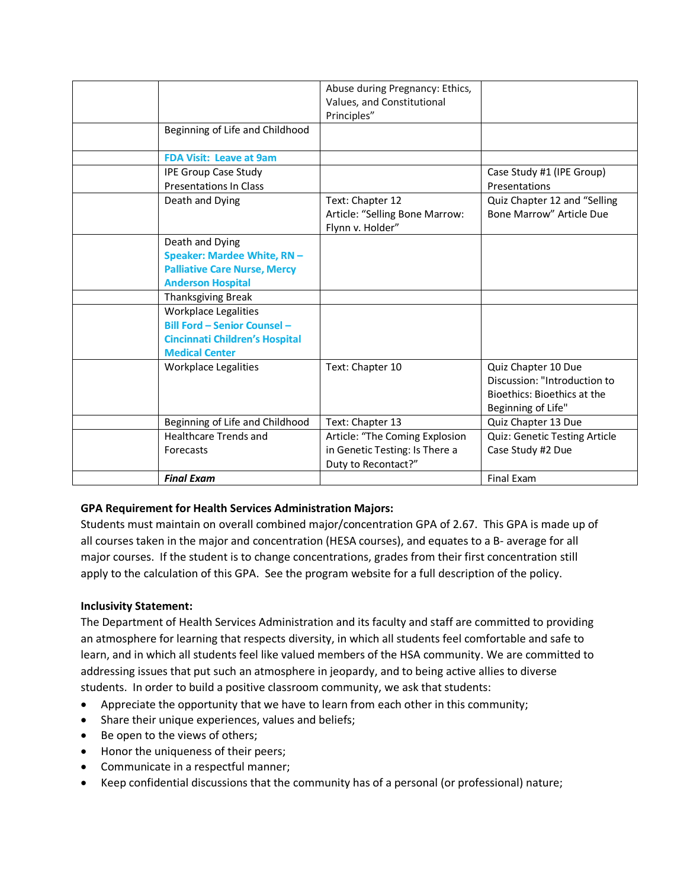|                                       | Abuse during Pregnancy: Ethics, |                               |
|---------------------------------------|---------------------------------|-------------------------------|
|                                       | Values, and Constitutional      |                               |
|                                       | Principles"                     |                               |
| Beginning of Life and Childhood       |                                 |                               |
|                                       |                                 |                               |
| <b>FDA Visit: Leave at 9am</b>        |                                 |                               |
|                                       |                                 |                               |
| <b>IPE Group Case Study</b>           |                                 | Case Study #1 (IPE Group)     |
| <b>Presentations In Class</b>         |                                 | Presentations                 |
| Death and Dying                       | Text: Chapter 12                | Quiz Chapter 12 and "Selling  |
|                                       | Article: "Selling Bone Marrow:  | Bone Marrow" Article Due      |
|                                       | Flynn v. Holder"                |                               |
| Death and Dying                       |                                 |                               |
| Speaker: Mardee White, RN-            |                                 |                               |
| <b>Palliative Care Nurse, Mercy</b>   |                                 |                               |
| <b>Anderson Hospital</b>              |                                 |                               |
| <b>Thanksgiving Break</b>             |                                 |                               |
| <b>Workplace Legalities</b>           |                                 |                               |
| <b>Bill Ford - Senior Counsel -</b>   |                                 |                               |
| <b>Cincinnati Children's Hospital</b> |                                 |                               |
| <b>Medical Center</b>                 |                                 |                               |
| <b>Workplace Legalities</b>           | Text: Chapter 10                | Quiz Chapter 10 Due           |
|                                       |                                 | Discussion: "Introduction to  |
|                                       |                                 | Bioethics: Bioethics at the   |
|                                       |                                 | Beginning of Life"            |
| Beginning of Life and Childhood       | Text: Chapter 13                | Quiz Chapter 13 Due           |
| <b>Healthcare Trends and</b>          | Article: "The Coming Explosion  | Quiz: Genetic Testing Article |
| Forecasts                             | in Genetic Testing: Is There a  | Case Study #2 Due             |
|                                       | Duty to Recontact?"             |                               |
| <b>Final Exam</b>                     |                                 | <b>Final Exam</b>             |

# **GPA Requirement for Health Services Administration Majors:**

Students must maintain on overall combined major/concentration GPA of 2.67. This GPA is made up of all courses taken in the major and concentration (HESA courses), and equates to a B- average for all major courses. If the student is to change concentrations, grades from their first concentration still apply to the calculation of this GPA. See the program website for a full description of the policy.

#### **Inclusivity Statement:**

The Department of Health Services Administration and its faculty and staff are committed to providing an atmosphere for learning that respects diversity, in which all students feel comfortable and safe to learn, and in which all students feel like valued members of the HSA community. We are committed to addressing issues that put such an atmosphere in jeopardy, and to being active allies to diverse students. In order to build a positive classroom community, we ask that students:

- Appreciate the opportunity that we have to learn from each other in this community;
- Share their unique experiences, values and beliefs;
- Be open to the views of others;
- Honor the uniqueness of their peers;
- Communicate in a respectful manner;
- Keep confidential discussions that the community has of a personal (or professional) nature;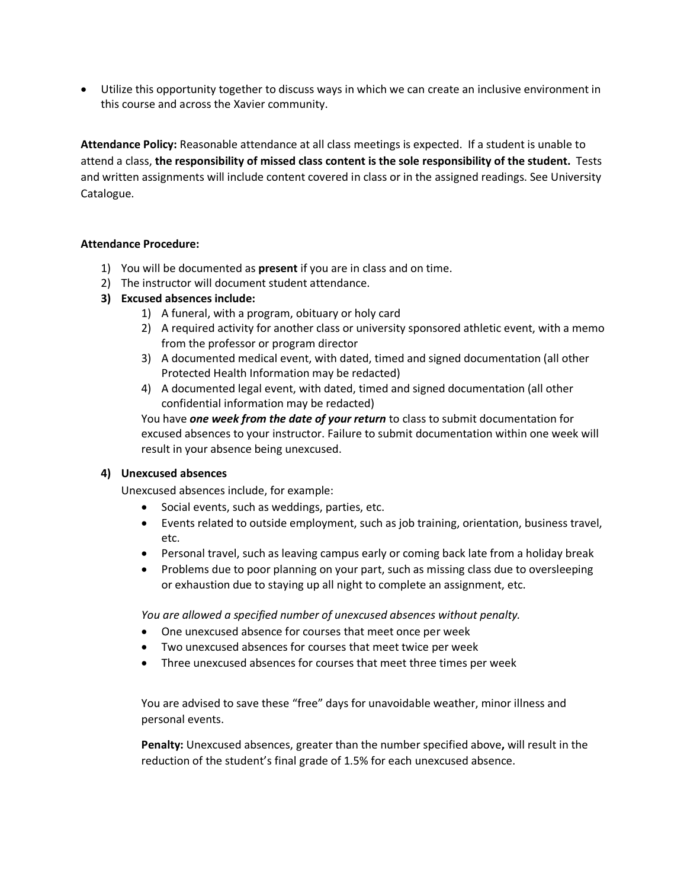• Utilize this opportunity together to discuss ways in which we can create an inclusive environment in this course and across the Xavier community.

**Attendance Policy:** Reasonable attendance at all class meetings is expected. If a student is unable to attend a class, **the responsibility of missed class content is the sole responsibility of the student.** Tests and written assignments will include content covered in class or in the assigned readings. See University Catalogue.

#### **Attendance Procedure:**

- 1) You will be documented as **present** if you are in class and on time.
- 2) The instructor will document student attendance.
- **3) Excused absences include:**
	- 1) A funeral, with a program, obituary or holy card
	- 2) A required activity for another class or university sponsored athletic event, with a memo from the professor or program director
	- 3) A documented medical event, with dated, timed and signed documentation (all other Protected Health Information may be redacted)
	- 4) A documented legal event, with dated, timed and signed documentation (all other confidential information may be redacted)

You have *one week from the date of your return* to class to submit documentation for excused absences to your instructor. Failure to submit documentation within one week will result in your absence being unexcused.

#### **4) Unexcused absences**

Unexcused absences include, for example:

- Social events, such as weddings, parties, etc.
- Events related to outside employment, such as job training, orientation, business travel, etc.
- Personal travel, such as leaving campus early or coming back late from a holiday break
- Problems due to poor planning on your part, such as missing class due to oversleeping or exhaustion due to staying up all night to complete an assignment, etc.

*You are allowed a specified number of unexcused absences without penalty.* 

- One unexcused absence for courses that meet once per week
- Two unexcused absences for courses that meet twice per week
- Three unexcused absences for courses that meet three times per week

You are advised to save these "free" days for unavoidable weather, minor illness and personal events.

**Penalty:** Unexcused absences, greater than the number specified above**,** will result in the reduction of the student's final grade of 1.5% for each unexcused absence.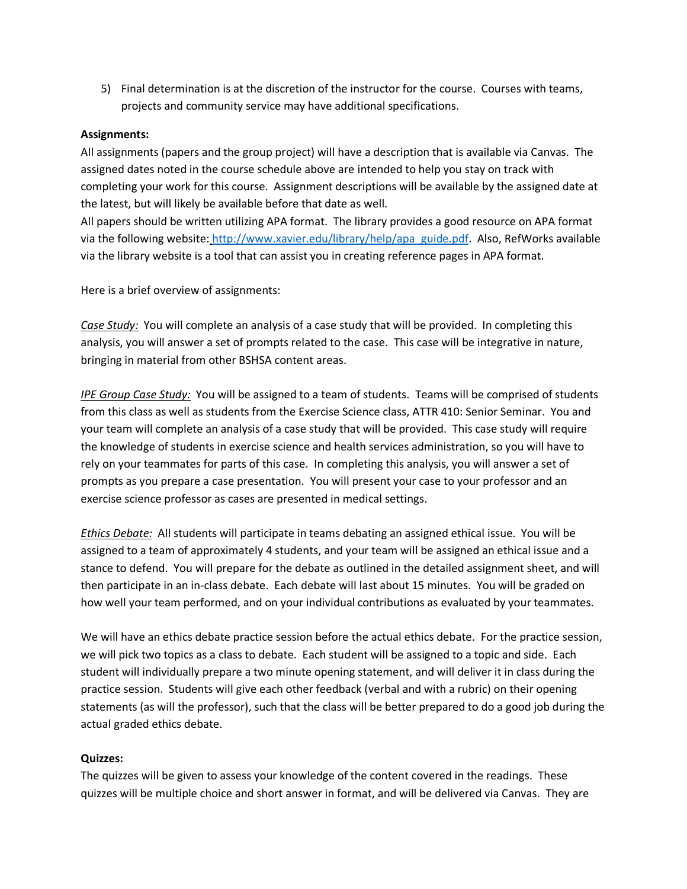5) Final determination is at the discretion of the instructor for the course. Courses with teams, projects and community service may have additional specifications.

#### **Assignments:**

All assignments (papers and the group project) will have a description that is available via Canvas. The assigned dates noted in the course schedule above are intended to help you stay on track with completing your work for this course. Assignment descriptions will be available by the assigned date at the latest, but will likely be available before that date as well.

All papers should be written utilizing APA format. The library provides a good resource on APA format via the following website: http://www.xavier.edu/library/help/apa\_guide.pdf. Also, RefWorks available via the library website is a tool that can assist you in creating reference pages in APA format.

Here is a brief overview of assignments:

*Case Study:* You will complete an analysis of a case study that will be provided. In completing this analysis, you will answer a set of prompts related to the case. This case will be integrative in nature, bringing in material from other BSHSA content areas.

*IPE Group Case Study:* You will be assigned to a team of students. Teams will be comprised of students from this class as well as students from the Exercise Science class, ATTR 410: Senior Seminar. You and your team will complete an analysis of a case study that will be provided. This case study will require the knowledge of students in exercise science and health services administration, so you will have to rely on your teammates for parts of this case. In completing this analysis, you will answer a set of prompts as you prepare a case presentation. You will present your case to your professor and an exercise science professor as cases are presented in medical settings.

*Ethics Debate:* All students will participate in teams debating an assigned ethical issue. You will be assigned to a team of approximately 4 students, and your team will be assigned an ethical issue and a stance to defend. You will prepare for the debate as outlined in the detailed assignment sheet, and will then participate in an in-class debate. Each debate will last about 15 minutes. You will be graded on how well your team performed, and on your individual contributions as evaluated by your teammates.

We will have an ethics debate practice session before the actual ethics debate. For the practice session, we will pick two topics as a class to debate. Each student will be assigned to a topic and side. Each student will individually prepare a two minute opening statement, and will deliver it in class during the practice session. Students will give each other feedback (verbal and with a rubric) on their opening statements (as will the professor), such that the class will be better prepared to do a good job during the actual graded ethics debate.

#### **Quizzes:**

The quizzes will be given to assess your knowledge of the content covered in the readings. These quizzes will be multiple choice and short answer in format, and will be delivered via Canvas. They are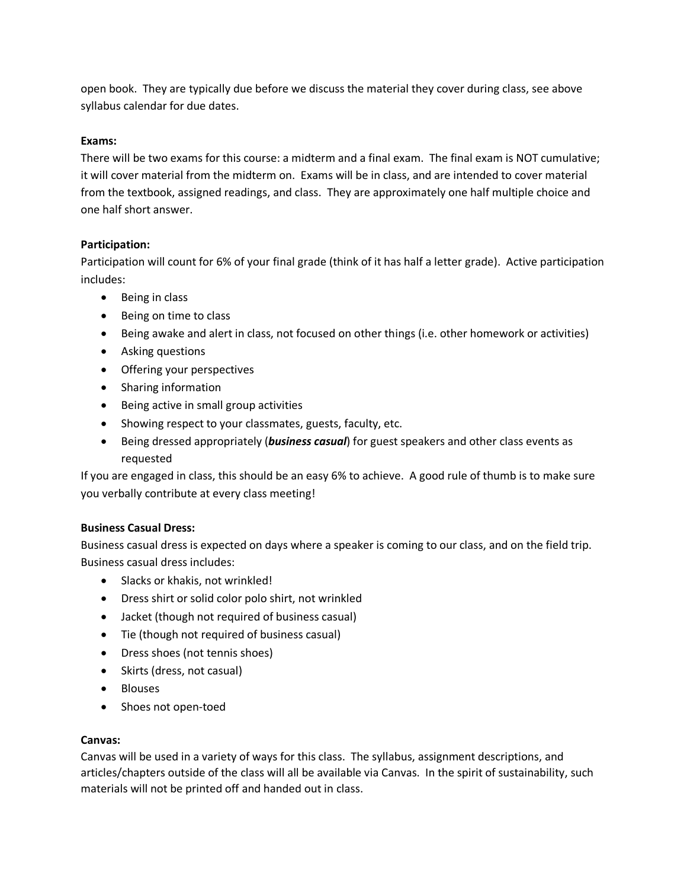open book. They are typically due before we discuss the material they cover during class, see above syllabus calendar for due dates.

# **Exams:**

There will be two exams for this course: a midterm and a final exam. The final exam is NOT cumulative; it will cover material from the midterm on. Exams will be in class, and are intended to cover material from the textbook, assigned readings, and class. They are approximately one half multiple choice and one half short answer.

# **Participation:**

Participation will count for 6% of your final grade (think of it has half a letter grade). Active participation includes:

- Being in class
- Being on time to class
- Being awake and alert in class, not focused on other things (i.e. other homework or activities)
- Asking questions
- Offering your perspectives
- Sharing information
- Being active in small group activities
- Showing respect to your classmates, guests, faculty, etc.
- Being dressed appropriately (*business casual*) for guest speakers and other class events as requested

If you are engaged in class, this should be an easy 6% to achieve. A good rule of thumb is to make sure you verbally contribute at every class meeting!

# **Business Casual Dress:**

Business casual dress is expected on days where a speaker is coming to our class, and on the field trip. Business casual dress includes:

- Slacks or khakis, not wrinkled!
- Dress shirt or solid color polo shirt, not wrinkled
- Jacket (though not required of business casual)
- Tie (though not required of business casual)
- Dress shoes (not tennis shoes)
- Skirts (dress, not casual)
- Blouses
- Shoes not open-toed

# **Canvas:**

Canvas will be used in a variety of ways for this class. The syllabus, assignment descriptions, and articles/chapters outside of the class will all be available via Canvas. In the spirit of sustainability, such materials will not be printed off and handed out in class.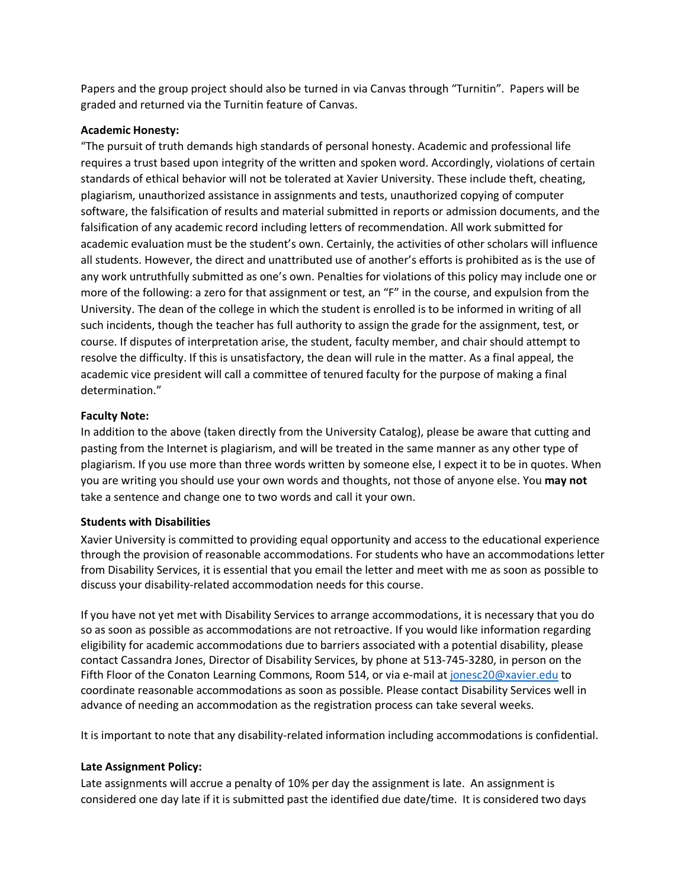Papers and the group project should also be turned in via Canvas through "Turnitin". Papers will be graded and returned via the Turnitin feature of Canvas.

#### **Academic Honesty:**

"The pursuit of truth demands high standards of personal honesty. Academic and professional life requires a trust based upon integrity of the written and spoken word. Accordingly, violations of certain standards of ethical behavior will not be tolerated at Xavier University. These include theft, cheating, plagiarism, unauthorized assistance in assignments and tests, unauthorized copying of computer software, the falsification of results and material submitted in reports or admission documents, and the falsification of any academic record including letters of recommendation. All work submitted for academic evaluation must be the student's own. Certainly, the activities of other scholars will influence all students. However, the direct and unattributed use of another's efforts is prohibited as is the use of any work untruthfully submitted as one's own. Penalties for violations of this policy may include one or more of the following: a zero for that assignment or test, an "F" in the course, and expulsion from the University. The dean of the college in which the student is enrolled is to be informed in writing of all such incidents, though the teacher has full authority to assign the grade for the assignment, test, or course. If disputes of interpretation arise, the student, faculty member, and chair should attempt to resolve the difficulty. If this is unsatisfactory, the dean will rule in the matter. As a final appeal, the academic vice president will call a committee of tenured faculty for the purpose of making a final determination."

### **Faculty Note:**

In addition to the above (taken directly from the University Catalog), please be aware that cutting and pasting from the Internet is plagiarism, and will be treated in the same manner as any other type of plagiarism. If you use more than three words written by someone else, I expect it to be in quotes. When you are writing you should use your own words and thoughts, not those of anyone else. You **may not** take a sentence and change one to two words and call it your own.

#### **Students with Disabilities**

Xavier University is committed to providing equal opportunity and access to the educational experience through the provision of reasonable accommodations. For students who have an accommodations letter from Disability Services, it is essential that you email the letter and meet with me as soon as possible to discuss your disability-related accommodation needs for this course.

If you have not yet met with Disability Services to arrange accommodations, it is necessary that you do so as soon as possible as accommodations are not retroactive. If you would like information regarding eligibility for academic accommodations due to barriers associated with a potential disability, please contact Cassandra Jones, Director of Disability Services, by phone at 513-745-3280, in person on the Fifth Floor of the Conaton Learning Commons, Room 514, or via e-mail at jonesc20@xavier.edu to coordinate reasonable accommodations as soon as possible. Please contact Disability Services well in advance of needing an accommodation as the registration process can take several weeks.

It is important to note that any disability-related information including accommodations is confidential.

# **Late Assignment Policy:**

Late assignments will accrue a penalty of 10% per day the assignment is late. An assignment is considered one day late if it is submitted past the identified due date/time. It is considered two days